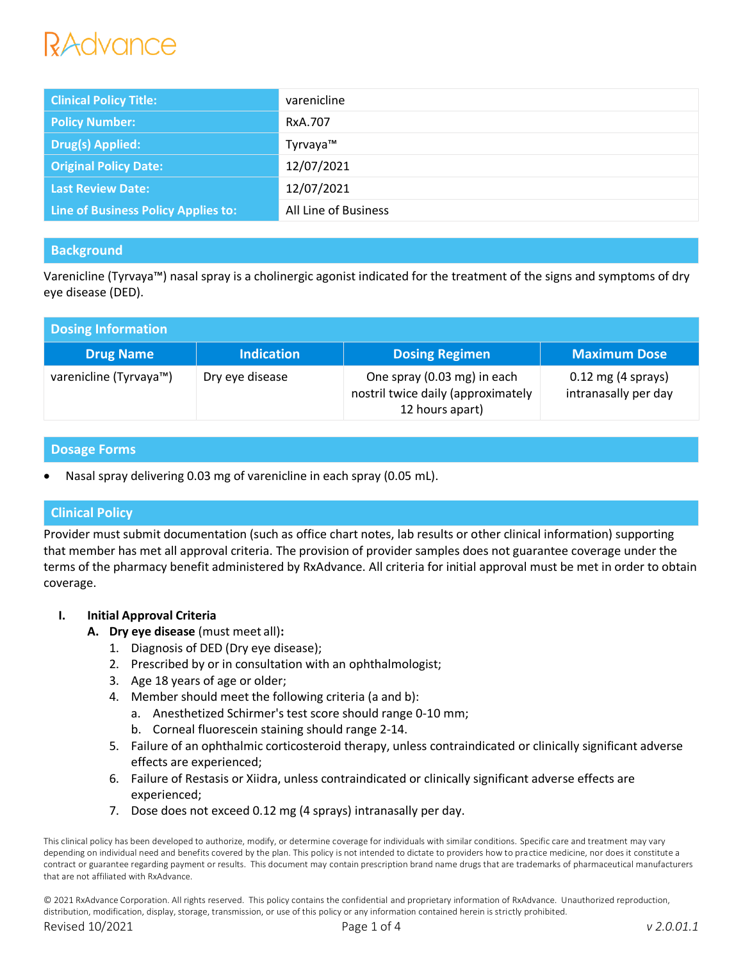# *Advance*

| <b>Clinical Policy Title:</b>       | varenicline          |
|-------------------------------------|----------------------|
| <b>Policy Number:</b>               | RxA.707              |
| <b>Drug(s) Applied:</b>             | Tyrvaya™             |
| <b>Original Policy Date:</b>        | 12/07/2021           |
| <b>Last Review Date:</b>            | 12/07/2021           |
| Line of Business Policy Applies to: | All Line of Business |

# **Background**

Varenicline (Tyrvaya™) nasal spray is a cholinergic agonist indicated for the treatment of the signs and symptoms of dry eye disease (DED).

| Dosing Information     |                   |                                                                                      |                                              |  |
|------------------------|-------------------|--------------------------------------------------------------------------------------|----------------------------------------------|--|
| <b>Drug Name</b>       | <b>Indication</b> | <b>Dosing Regimen</b>                                                                | <b>Maximum Dose</b>                          |  |
| varenicline (Tyrvaya™) | Dry eye disease   | One spray (0.03 mg) in each<br>nostril twice daily (approximately<br>12 hours apart) | $0.12$ mg (4 sprays)<br>intranasally per day |  |

## **Dosage Forms**

Nasal spray delivering 0.03 mg of varenicline in each spray (0.05 mL).

## **Clinical Policy**

Provider must submit documentation (such as office chart notes, lab results or other clinical information) supporting that member has met all approval criteria. The provision of provider samples does not guarantee coverage under the terms of the pharmacy benefit administered by RxAdvance. All criteria for initial approval must be met in order to obtain coverage.

## **I. Initial Approval Criteria**

- **A. Dry eye disease** (must meet all)**:**
	- 1. Diagnosis of DED (Dry eye disease);
	- 2. Prescribed by or in consultation with an ophthalmologist;
	- 3. Age 18 years of age or older;
	- 4. Member should meet the following criteria (a and b):
		- a. Anesthetized Schirmer's test score should range 0-10 mm;
		- b. Corneal fluorescein staining should range 2-14.
	- 5. Failure of an ophthalmic corticosteroid therapy, unless contraindicated or clinically significant adverse effects are experienced;
	- 6. Failure of Restasis or Xiidra, unless contraindicated or clinically significant adverse effects are experienced;
	- 7. Dose does not exceed 0.12 mg (4 sprays) intranasally per day.

This clinical policy has been developed to authorize, modify, or determine coverage for individuals with similar conditions. Specific care and treatment may vary depending on individual need and benefits covered by the plan. This policy is not intended to dictate to providers how to practice medicine, nor does it constitute a contract or guarantee regarding payment or results. This document may contain prescription brand name drugs that are trademarks of pharmaceutical manufacturers that are not affiliated with RxAdvance.

© 2021 RxAdvance Corporation. All rights reserved. This policy contains the confidential and proprietary information of RxAdvance. Unauthorized reproduction, distribution, modification, display, storage, transmission, or use of this policy or any information contained herein is strictly prohibited.

Revised 10/2021 Page 1 of 4 *v 2.0.01.1*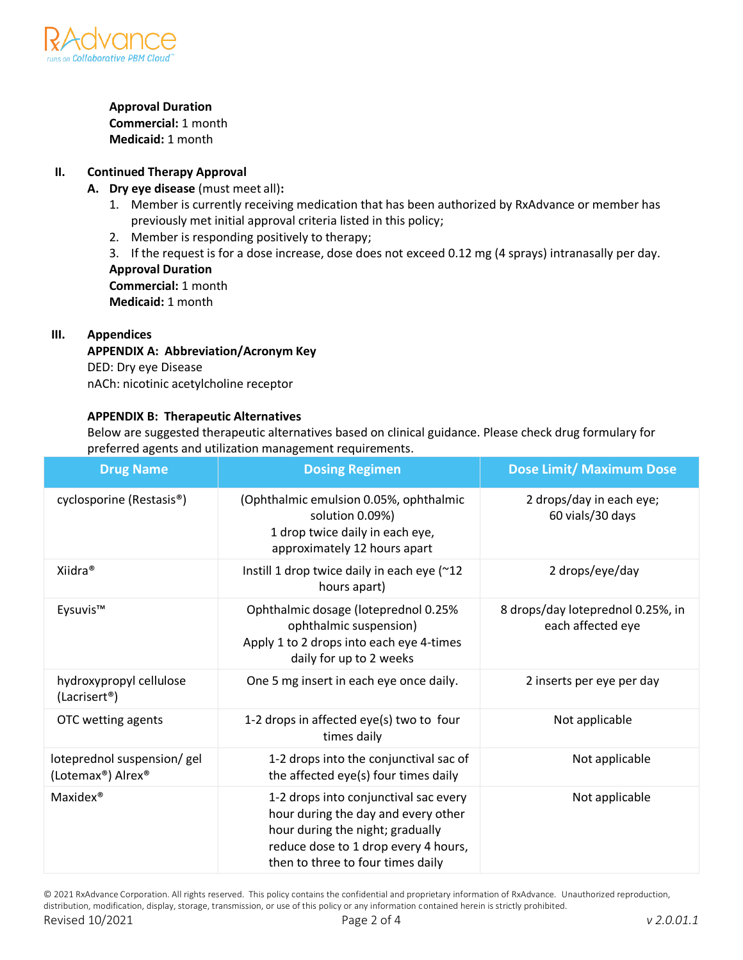

#### **Approval Duration**

**Commercial:** 1 month **Medicaid:** 1 month

## **II. Continued Therapy Approval**

## **A. Dry eye disease** (must meet all)**:**

- 1. Member is currently receiving medication that has been authorized by RxAdvance or member has previously met initial approval criteria listed in this policy;
- 2. Member is responding positively to therapy;

3. If the request is for a dose increase, dose does not exceed 0.12 mg (4 sprays) intranasally per day. **Approval Duration**

**Commercial:** 1 month **Medicaid:** 1 month

#### **III. Appendices**

#### **APPENDIX A: Abbreviation/Acronym Key** DED: Dry eye Disease

nACh: nicotinic acetylcholine receptor

## **APPENDIX B: Therapeutic Alternatives**

Below are suggested therapeutic alternatives based on clinical guidance. Please check drug formulary for preferred agents and utilization management requirements.

| <b>Drug Name</b>                                     | <b>Dosing Regimen</b>                                                                                                                                                                         | <b>Dose Limit/ Maximum Dose</b>                        |
|------------------------------------------------------|-----------------------------------------------------------------------------------------------------------------------------------------------------------------------------------------------|--------------------------------------------------------|
| cyclosporine (Restasis <sup>®</sup> )                | (Ophthalmic emulsion 0.05%, ophthalmic<br>solution 0.09%)<br>1 drop twice daily in each eye,<br>approximately 12 hours apart                                                                  | 2 drops/day in each eye;<br>60 vials/30 days           |
| Xiidra <sup>®</sup>                                  | Instill 1 drop twice daily in each eye (~12<br>hours apart)                                                                                                                                   | 2 drops/eye/day                                        |
| Eysuvis™                                             | Ophthalmic dosage (loteprednol 0.25%<br>ophthalmic suspension)<br>Apply 1 to 2 drops into each eye 4-times<br>daily for up to 2 weeks                                                         | 8 drops/day loteprednol 0.25%, in<br>each affected eye |
| hydroxypropyl cellulose<br>(Lacrisert <sup>®</sup> ) | One 5 mg insert in each eye once daily.                                                                                                                                                       | 2 inserts per eye per day                              |
| OTC wetting agents                                   | 1-2 drops in affected eye(s) two to four<br>times daily                                                                                                                                       | Not applicable                                         |
| loteprednol suspension/gel<br>(Lotemax®) Alrex®      | 1-2 drops into the conjunctival sac of<br>the affected eye(s) four times daily                                                                                                                | Not applicable                                         |
| Maxidex <sup>®</sup>                                 | 1-2 drops into conjunctival sac every<br>hour during the day and every other<br>hour during the night; gradually<br>reduce dose to 1 drop every 4 hours,<br>then to three to four times daily | Not applicable                                         |

© 2021 RxAdvance Corporation. All rights reserved. This policy contains the confidential and proprietary information of RxAdvance. Unauthorized reproduction, distribution, modification, display, storage, transmission, or use of this policy or any information contained herein is strictly prohibited. Revised 10/2021 Page 2 of 4 *v 2.0.01.1*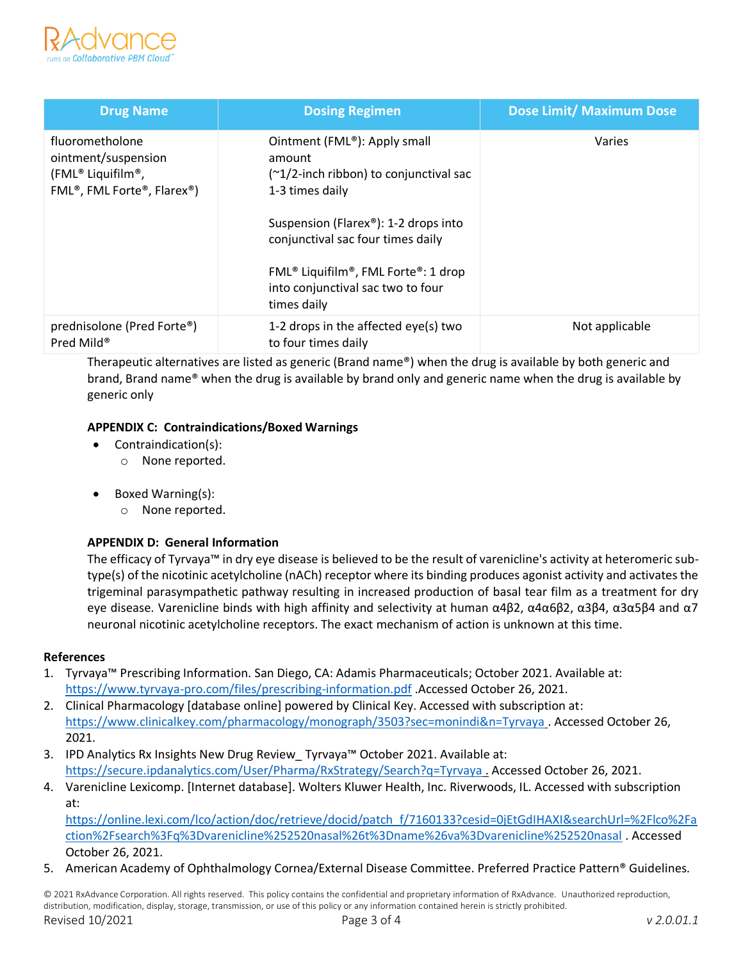

| <b>Drug Name</b>                                                                                                                 | <b>Dosing Regimen</b>                                                                                                                                                                                                                                                                                                                 | <b>Dose Limit/ Maximum Dose</b> |
|----------------------------------------------------------------------------------------------------------------------------------|---------------------------------------------------------------------------------------------------------------------------------------------------------------------------------------------------------------------------------------------------------------------------------------------------------------------------------------|---------------------------------|
| fluorometholone<br>ointment/suspension<br>(FML® Liquifilm®,<br>FML <sup>®</sup> , FML Forte <sup>®</sup> , Flarex <sup>®</sup> ) | Ointment (FML <sup>®</sup> ): Apply small<br>amount<br>$(\sim 1/2$ -inch ribbon) to conjunctival sac<br>1-3 times daily<br>Suspension (Flarex®): 1-2 drops into<br>conjunctival sac four times daily<br>FML <sup>®</sup> Liquifilm <sup>®</sup> , FML Forte <sup>®</sup> : 1 drop<br>into conjunctival sac two to four<br>times daily | Varies                          |
| prednisolone (Pred Forte®)<br>Pred Mild <sup>®</sup>                                                                             | 1-2 drops in the affected eye(s) two<br>to four times daily                                                                                                                                                                                                                                                                           | Not applicable                  |

Therapeutic alternatives are listed as generic (Brand name®) when the drug is available by both generic and brand, Brand name® when the drug is available by brand only and generic name when the drug is available by generic only

## **APPENDIX C: Contraindications/Boxed Warnings**

- Contraindication(s):
	- o None reported.
- Boxed Warning(s):
	- o None reported.

## **APPENDIX D: General Information**

The efficacy of Tyrvaya™ in dry eye disease is believed to be the result of varenicline's activity at heteromeric subtype(s) of the nicotinic acetylcholine (nACh) receptor where its binding produces agonist activity and activates the trigeminal parasympathetic pathway resulting in increased production of basal tear film as a treatment for dry eye disease. Varenicline binds with high affinity and selectivity at human α4β2, α4α6β2, α3β4, α3α5β4 and α7 neuronal nicotinic acetylcholine receptors. The exact mechanism of action is unknown at this time.

## **References**

- 1. Tyrvaya™ Prescribing Information. San Diego, CA: Adamis Pharmaceuticals; October 2021. Available at: <https://www.tyrvaya-pro.com/files/prescribing-information.pdf> .Accessed October 26, 2021.
- 2. Clinical Pharmacology [database online] powered by Clinical Key. Accessed with subscription at: <https://www.clinicalkey.com/pharmacology/monograph/3503?sec=monindi&n=Tyrvaya> . Accessed October 26, 2021.
- 3. IPD Analytics Rx Insights New Drug Review\_ Tyrvaya™ October 2021. Available at: <https://secure.ipdanalytics.com/User/Pharma/RxStrategy/Search?q=Tyrvaya> . Accessed October 26, 2021.
- 4. Varenicline Lexicomp. [Internet database]. Wolters Kluwer Health, Inc. Riverwoods, IL. Accessed with subscription at:

[https://online.lexi.com/lco/action/doc/retrieve/docid/patch\\_f/7160133?cesid=0jEtGdIHAXI&searchUrl=%2Flco%2Fa](https://online.lexi.com/lco/action/doc/retrieve/docid/patch_f/7160133?cesid=0jEtGdIHAXI&searchUrl=%2Flco%2Faction%2Fsearch%3Fq%3Dvarenicline%252520nasal%26t%3Dname%26va%3Dvarenicline%252520nasal) [ction%2Fsearch%3Fq%3Dvarenicline%252520nasal%26t%3Dname%26va%3Dvarenicline%252520nasal](https://online.lexi.com/lco/action/doc/retrieve/docid/patch_f/7160133?cesid=0jEtGdIHAXI&searchUrl=%2Flco%2Faction%2Fsearch%3Fq%3Dvarenicline%252520nasal%26t%3Dname%26va%3Dvarenicline%252520nasal) . Accessed October 26, 2021.

5. American Academy of Ophthalmology Cornea/External Disease Committee. Preferred Practice Pattern® Guidelines.

© 2021 RxAdvance Corporation. All rights reserved. This policy contains the confidential and proprietary information of RxAdvance. Unauthorized reproduction, distribution, modification, display, storage, transmission, or use of this policy or any information contained herein is strictly prohibited. Revised 10/2021 Page 3 of 4 *v 2.0.01.1*